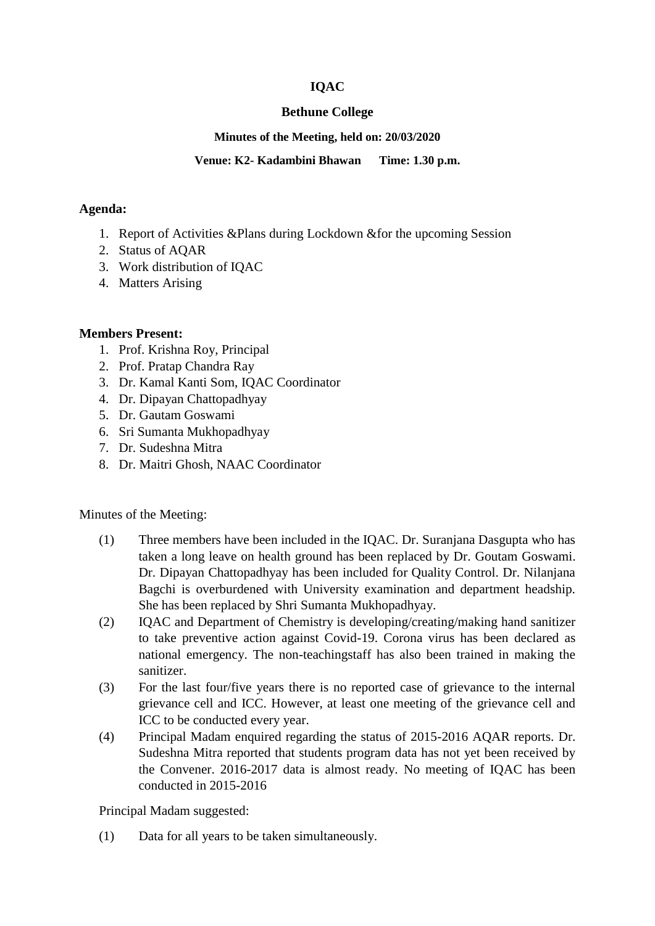# **IQAC**

## **Bethune College**

## **Minutes of the Meeting, held on: 20/03/2020**

## **Venue: K2- Kadambini Bhawan Time: 1.30 p.m.**

#### **Agenda:**

- 1. Report of Activities &Plans during Lockdown &for the upcoming Session
- 2. Status of AQAR
- 3. Work distribution of IQAC
- 4. Matters Arising

## **Members Present:**

- 1. Prof. Krishna Roy, Principal
- 2. Prof. Pratap Chandra Ray
- 3. Dr. Kamal Kanti Som, IQAC Coordinator
- 4. Dr. Dipayan Chattopadhyay
- 5. Dr. Gautam Goswami
- 6. Sri Sumanta Mukhopadhyay
- 7. Dr. Sudeshna Mitra
- 8. Dr. Maitri Ghosh, NAAC Coordinator

Minutes of the Meeting:

- (1) Three members have been included in the IQAC. Dr. Suranjana Dasgupta who has taken a long leave on health ground has been replaced by Dr. Goutam Goswami. Dr. Dipayan Chattopadhyay has been included for Quality Control. Dr. Nilanjana Bagchi is overburdened with University examination and department headship. She has been replaced by Shri Sumanta Mukhopadhyay.
- (2) IQAC and Department of Chemistry is developing/creating/making hand sanitizer to take preventive action against Covid-19. Corona virus has been declared as national emergency. The non-teachingstaff has also been trained in making the sanitizer.
- (3) For the last four/five years there is no reported case of grievance to the internal grievance cell and ICC. However, at least one meeting of the grievance cell and ICC to be conducted every year.
- (4) Principal Madam enquired regarding the status of 2015-2016 AQAR reports. Dr. Sudeshna Mitra reported that students program data has not yet been received by the Convener. 2016-2017 data is almost ready. No meeting of IQAC has been conducted in 2015-2016

Principal Madam suggested:

(1) Data for all years to be taken simultaneously.